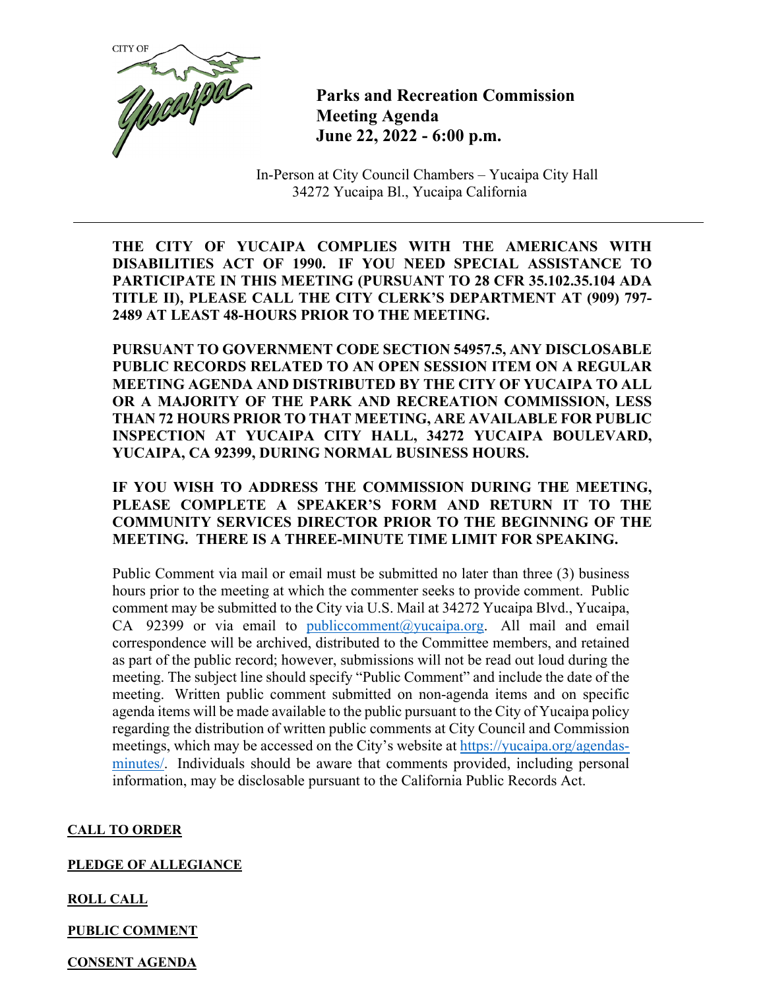

**Parks and Recreation Commission Meeting Agenda June 22, 2022 - 6:00 p.m.** 

In-Person at City Council Chambers – Yucaipa City Hall 34272 Yucaipa Bl., Yucaipa California

**THE CITY OF YUCAIPA COMPLIES WITH THE AMERICANS WITH DISABILITIES ACT OF 1990. IF YOU NEED SPECIAL ASSISTANCE TO PARTICIPATE IN THIS MEETING (PURSUANT TO 28 CFR 35.102.35.104 ADA TITLE II), PLEASE CALL THE CITY CLERK'S DEPARTMENT AT (909) 797- 2489 AT LEAST 48-HOURS PRIOR TO THE MEETING.**

**PURSUANT TO GOVERNMENT CODE SECTION 54957.5, ANY DISCLOSABLE PUBLIC RECORDS RELATED TO AN OPEN SESSION ITEM ON A REGULAR MEETING AGENDA AND DISTRIBUTED BY THE CITY OF YUCAIPA TO ALL OR A MAJORITY OF THE PARK AND RECREATION COMMISSION, LESS THAN 72 HOURS PRIOR TO THAT MEETING, ARE AVAILABLE FOR PUBLIC INSPECTION AT YUCAIPA CITY HALL, 34272 YUCAIPA BOULEVARD, YUCAIPA, CA 92399, DURING NORMAL BUSINESS HOURS.** 

**IF YOU WISH TO ADDRESS THE COMMISSION DURING THE MEETING, PLEASE COMPLETE A SPEAKER'S FORM AND RETURN IT TO THE COMMUNITY SERVICES DIRECTOR PRIOR TO THE BEGINNING OF THE MEETING. THERE IS A THREE-MINUTE TIME LIMIT FOR SPEAKING.**

Public Comment via mail or email must be submitted no later than three (3) business hours prior to the meeting at which the commenter seeks to provide comment. Public comment may be submitted to the City via U.S. Mail at 34272 Yucaipa Blvd., Yucaipa, CA 92399 or via email to publiccomment@yucaipa.org. All mail and email correspondence will be archived, distributed to the Committee members, and retained as part of the public record; however, submissions will not be read out loud during the meeting. The subject line should specify "Public Comment" and include the date of the meeting. Written public comment submitted on non-agenda items and on specific agenda items will be made available to the public pursuant to the City of Yucaipa policy regarding the distribution of written public comments at City Council and Commission meetings, which may be accessed on the City's website at https://yucaipa.org/agendasminutes/. Individuals should be aware that comments provided, including personal information, may be disclosable pursuant to the California Public Records Act.

# **CALL TO ORDER**

#### **PLEDGE OF ALLEGIANCE**

# **ROLL CALL**

# **PUBLIC COMMENT**

#### **CONSENT AGENDA**